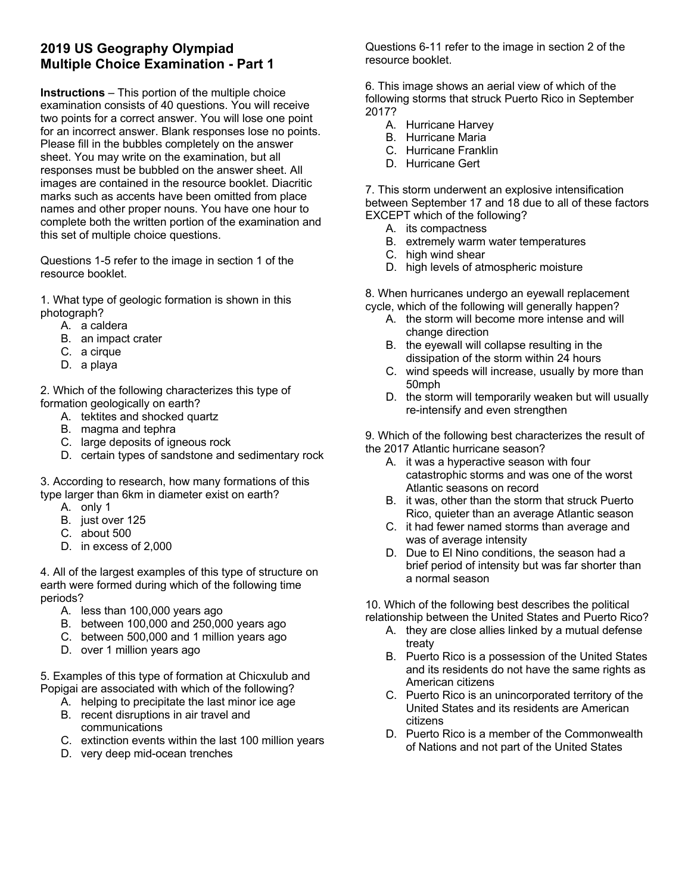## **2019 US Geography Olympiad Multiple Choice Examination - Part 1**

**Instructions** – This portion of the multiple choice examination consists of 40 questions. You will receive two points for a correct answer. You will lose one point for an incorrect answer. Blank responses lose no points. Please fill in the bubbles completely on the answer sheet. You may write on the examination, but all responses must be bubbled on the answer sheet. All images are contained in the resource booklet. Diacritic marks such as accents have been omitted from place names and other proper nouns. You have one hour to complete both the written portion of the examination and this set of multiple choice questions.

Questions 1-5 refer to the image in section 1 of the resource booklet.

1. What type of geologic formation is shown in this photograph?

- A. a caldera
- B. an impact crater
- C. a cirque
- D. a playa

2. Which of the following characterizes this type of formation geologically on earth?

- A. tektites and shocked quartz
- B. magma and tephra
- C. large deposits of igneous rock
- D. certain types of sandstone and sedimentary rock

3. According to research, how many formations of this type larger than 6km in diameter exist on earth?

- A. only 1
- B. just over 125
- C. about 500
- D. in excess of 2,000

4. All of the largest examples of this type of structure on earth were formed during which of the following time periods?

- A. less than 100,000 years ago
- B. between 100,000 and 250,000 years ago
- C. between 500,000 and 1 million years ago
- D. over 1 million years ago

5. Examples of this type of formation at Chicxulub and Popigai are associated with which of the following?

- A. helping to precipitate the last minor ice age
- B. recent disruptions in air travel and communications
- C. extinction events within the last 100 million years
- D. very deep mid-ocean trenches

Questions 6-11 refer to the image in section 2 of the resource booklet.

6. This image shows an aerial view of which of the following storms that struck Puerto Rico in September 2017?

- A. Hurricane Harvey
- B. Hurricane Maria
- C. Hurricane Franklin
- D. Hurricane Gert

7. This storm underwent an explosive intensification between September 17 and 18 due to all of these factors EXCEPT which of the following?

- A. its compactness
- B. extremely warm water temperatures
- C. high wind shear
- D. high levels of atmospheric moisture

8. When hurricanes undergo an eyewall replacement cycle, which of the following will generally happen?

- A. the storm will become more intense and will change direction
- B. the eyewall will collapse resulting in the dissipation of the storm within 24 hours
- C. wind speeds will increase, usually by more than 50mph
- D. the storm will temporarily weaken but will usually re-intensify and even strengthen

9. Which of the following best characterizes the result of the 2017 Atlantic hurricane season?

- A. it was a hyperactive season with four catastrophic storms and was one of the worst Atlantic seasons on record
- B. it was, other than the storm that struck Puerto Rico, quieter than an average Atlantic season
- C. it had fewer named storms than average and was of average intensity
- D. Due to El Nino conditions, the season had a brief period of intensity but was far shorter than a normal season

10. Which of the following best describes the political

- relationship between the United States and Puerto Rico? A. they are close allies linked by a mutual defense treaty
	- B. Puerto Rico is a possession of the United States and its residents do not have the same rights as American citizens
	- C. Puerto Rico is an unincorporated territory of the United States and its residents are American citizens
	- D. Puerto Rico is a member of the Commonwealth of Nations and not part of the United States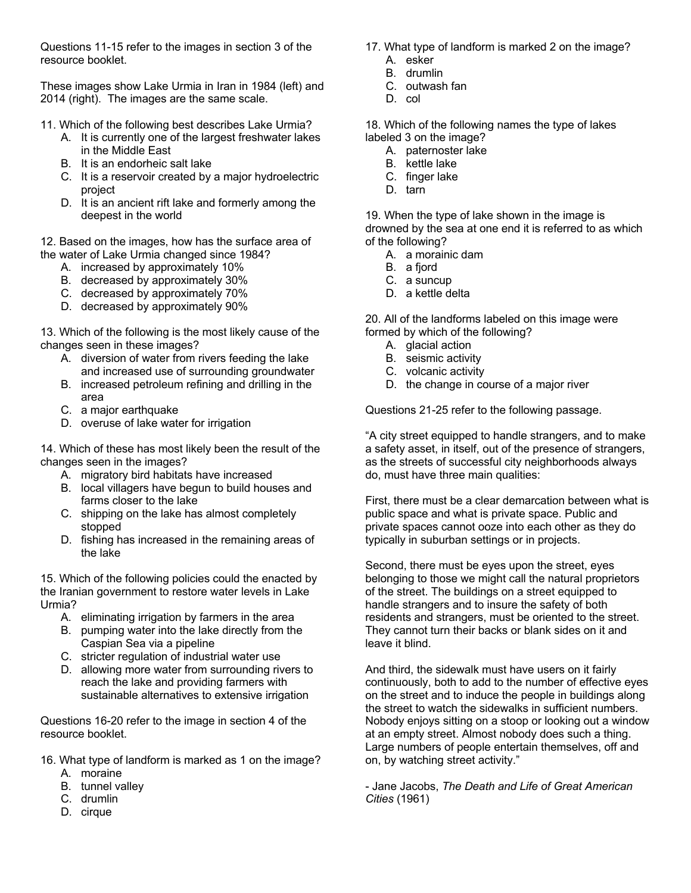Questions 11-15 refer to the images in section 3 of the resource booklet.

These images show Lake Urmia in Iran in 1984 (left) and 2014 (right). The images are the same scale.

- 11. Which of the following best describes Lake Urmia?
	- A. It is currently one of the largest freshwater lakes in the Middle East
	- B. It is an endorheic salt lake
	- C. It is a reservoir created by a major hydroelectric project
	- D. It is an ancient rift lake and formerly among the deepest in the world

12. Based on the images, how has the surface area of the water of Lake Urmia changed since 1984?

- A. increased by approximately 10%
- B. decreased by approximately 30%
- C. decreased by approximately 70%
- D. decreased by approximately 90%

13. Which of the following is the most likely cause of the changes seen in these images?

- A. diversion of water from rivers feeding the lake and increased use of surrounding groundwater
- B. increased petroleum refining and drilling in the area
- C. a major earthquake
- D. overuse of lake water for irrigation

14. Which of these has most likely been the result of the changes seen in the images?

- A. migratory bird habitats have increased
- B. local villagers have begun to build houses and farms closer to the lake
- C. shipping on the lake has almost completely stopped
- D. fishing has increased in the remaining areas of the lake

15. Which of the following policies could the enacted by the Iranian government to restore water levels in Lake Urmia?

- A. eliminating irrigation by farmers in the area
- B. pumping water into the lake directly from the Caspian Sea via a pipeline
- C. stricter regulation of industrial water use
- D. allowing more water from surrounding rivers to reach the lake and providing farmers with sustainable alternatives to extensive irrigation

Questions 16-20 refer to the image in section 4 of the resource booklet.

- 16. What type of landform is marked as 1 on the image?
	- A. moraine
	- B. tunnel valley
	- C. drumlin
	- D. cirque
- 17. What type of landform is marked 2 on the image?
	- A. esker
	- B. drumlin
	- C. outwash fan
	- D. col

18. Which of the following names the type of lakes labeled 3 on the image?

- A. paternoster lake
- B. kettle lake
- C. finger lake
- D. tarn

19. When the type of lake shown in the image is drowned by the sea at one end it is referred to as which of the following?

- A. a morainic dam
- B. a fjord
- C. a suncup
- D. a kettle delta

20. All of the landforms labeled on this image were formed by which of the following?

- A. glacial action
- B. seismic activity
- C. volcanic activity
- D. the change in course of a major river

Questions 21-25 refer to the following passage.

"A city street equipped to handle strangers, and to make a safety asset, in itself, out of the presence of strangers, as the streets of successful city neighborhoods always do, must have three main qualities:

First, there must be a clear demarcation between what is public space and what is private space. Public and private spaces cannot ooze into each other as they do typically in suburban settings or in projects.

Second, there must be eyes upon the street, eyes belonging to those we might call the natural proprietors of the street. The buildings on a street equipped to handle strangers and to insure the safety of both residents and strangers, must be oriented to the street. They cannot turn their backs or blank sides on it and leave it blind.

And third, the sidewalk must have users on it fairly continuously, both to add to the number of effective eyes on the street and to induce the people in buildings along the street to watch the sidewalks in sufficient numbers. Nobody enjoys sitting on a stoop or looking out a window at an empty street. Almost nobody does such a thing. Large numbers of people entertain themselves, off and on, by watching street activity."

- Jane Jacobs, *The Death and Life of Great American Cities* (1961)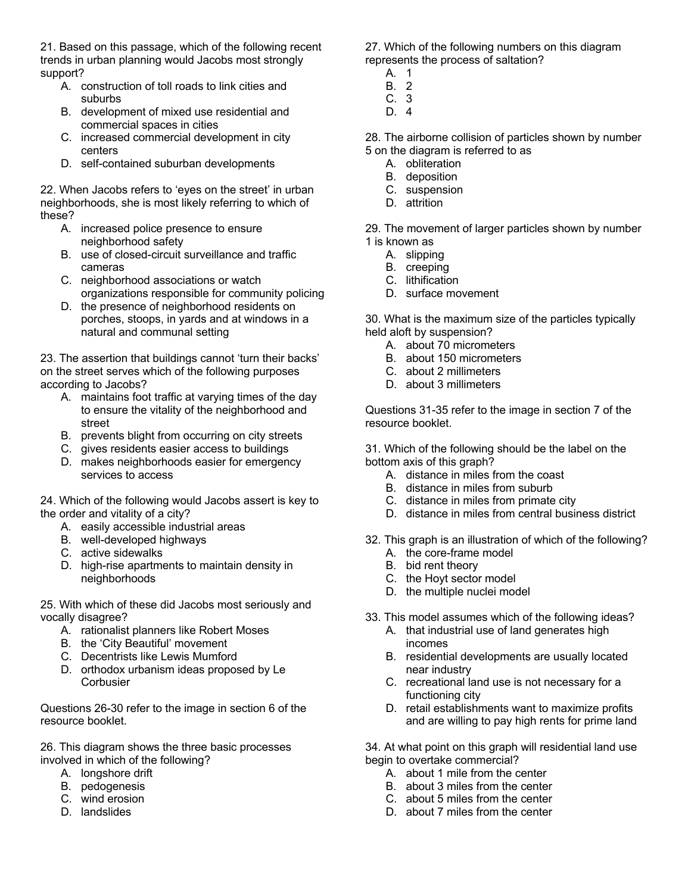21. Based on this passage, which of the following recent trends in urban planning would Jacobs most strongly support?

- A. construction of toll roads to link cities and suburbs
- B. development of mixed use residential and commercial spaces in cities
- C. increased commercial development in city centers
- D. self-contained suburban developments

22. When Jacobs refers to 'eyes on the street' in urban neighborhoods, she is most likely referring to which of these?

- A. increased police presence to ensure neighborhood safety
- B. use of closed-circuit surveillance and traffic cameras
- C. neighborhood associations or watch organizations responsible for community policing
- D. the presence of neighborhood residents on porches, stoops, in yards and at windows in a natural and communal setting

23. The assertion that buildings cannot 'turn their backs' on the street serves which of the following purposes according to Jacobs?

- A. maintains foot traffic at varying times of the day to ensure the vitality of the neighborhood and street
- B. prevents blight from occurring on city streets
- C. gives residents easier access to buildings
- D. makes neighborhoods easier for emergency services to access

24. Which of the following would Jacobs assert is key to the order and vitality of a city?

- A. easily accessible industrial areas
- B. well-developed highways
- C. active sidewalks
- D. high-rise apartments to maintain density in neighborhoods

25. With which of these did Jacobs most seriously and vocally disagree?

- A. rationalist planners like Robert Moses
- B. the 'City Beautiful' movement
- C. Decentrists like Lewis Mumford
- D. orthodox urbanism ideas proposed by Le **Corbusier**

Questions 26-30 refer to the image in section 6 of the resource booklet.

26. This diagram shows the three basic processes involved in which of the following?

- A. longshore drift
- B. pedogenesis
- C. wind erosion
- D. landslides

27. Which of the following numbers on this diagram represents the process of saltation?

- A. 1
- B. 2 C. 3
- D. 4

28. The airborne collision of particles shown by number 5 on the diagram is referred to as

- A. obliteration
- B. deposition
- C. suspension
- D. attrition

29. The movement of larger particles shown by number 1 is known as

- A. slipping
- B. creeping
- C. lithification
- D. surface movement

30. What is the maximum size of the particles typically held aloft by suspension?

- A. about 70 micrometers
- B. about 150 micrometers
- C. about 2 millimeters
- D. about 3 millimeters

Questions 31-35 refer to the image in section 7 of the resource booklet.

31. Which of the following should be the label on the bottom axis of this graph?

- A. distance in miles from the coast
- B. distance in miles from suburb
- C. distance in miles from primate city
- D. distance in miles from central business district
- 32. This graph is an illustration of which of the following? A. the core-frame model
	- B. bid rent theory
	- C. the Hoyt sector model
	- D. the multiple nuclei model
- 33. This model assumes which of the following ideas?
	- A. that industrial use of land generates high incomes
	- B. residential developments are usually located near industry
	- C. recreational land use is not necessary for a functioning city
	- D. retail establishments want to maximize profits and are willing to pay high rents for prime land

34. At what point on this graph will residential land use begin to overtake commercial?

- A. about 1 mile from the center
- B. about 3 miles from the center
- C. about 5 miles from the center
- D. about 7 miles from the center